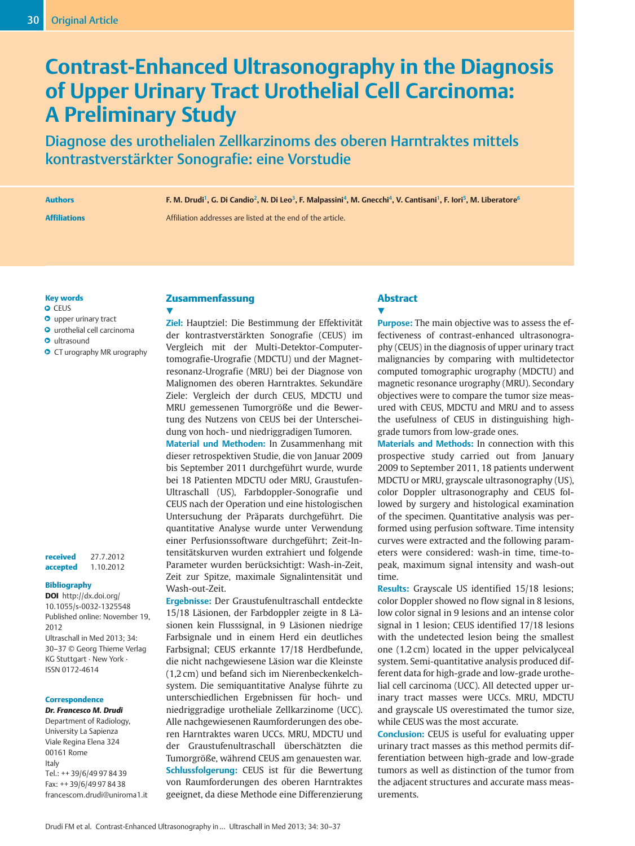# Contrast-Enhanced Ultrasonography in the Diagnosis of Upper Urinary Tract Urothelial Cell Carcinoma: A Preliminary Study

Diagnose des urothelialen Zellkarzinoms des oberen Harntraktes mittels kontrastverstärkter Sonografie: eine Vorstudie

Authors F. M. Drudi<sup>1</sup>, G. Di Candio<sup>2</sup>, N. Di Leo<sup>3</sup>, F. Malpassini<sup>4</sup>, M. Gnecchi<sup>4</sup>, V. Cantisani<sup>1</sup>, F. Iori<sup>5</sup>, M. Liberatore<sup>6</sup>

Affiliations Affiliation addresses are listed at the end of the article.

#### Key words

- **O** CEUS
- **O** upper urinary tract
- **O** urothelial cell carcinoma
- **O** ultrasound
- **O** CT urography MR urography

received 27.7.2012 accepted 1.10.2012

#### Bibliography

DOI http://dx.doi.org/ 10.1055/s-0032-1325548 Published online: November 19, 2012 Ultraschall in Med 2013; 34: 30–37 © Georg Thieme Verlag KG Stuttgart · New York · ISSN 0172-4614

#### **Correspondence**

Dr. Francesco M. Drudi Department of Radiology, University La Sapienza Viale Regina Elena 324 00161 Rome Italy Tel.: ++ 39/6/49 97 84 39 Fax: ++ 39/6/49 97 84 38 francescom.drudi@uniroma1.it

# Zusammenfassung

 $\blacktriangledown$ Ziel: Hauptziel: Die Bestimmung der Effektivität der kontrastverstärkten Sonografie (CEUS) im Vergleich mit der Multi-Detektor-Computertomografie-Urografie (MDCTU) und der Magnetresonanz-Urografie (MRU) bei der Diagnose von Malignomen des oberen Harntraktes. Sekundäre Ziele: Vergleich der durch CEUS, MDCTU und MRU gemessenen Tumorgröße und die Bewertung des Nutzens von CEUS bei der Unterscheidung von hoch- und niedriggradigen Tumoren.

Material und Methoden: In Zusammenhang mit dieser retrospektiven Studie, die von Januar 2009 bis September 2011 durchgeführt wurde, wurde bei 18 Patienten MDCTU oder MRU, Graustufen-Ultraschall (US), Farbdoppler-Sonografie und CEUS nach der Operation und eine histologischen Untersuchung der Präparats durchgeführt. Die quantitative Analyse wurde unter Verwendung einer Perfusionssoftware durchgeführt; Zeit-Intensitätskurven wurden extrahiert und folgende Parameter wurden berücksichtigt: Wash-in-Zeit, Zeit zur Spitze, maximale Signalintensität und Wash-out-Zeit.

Ergebnisse: Der Graustufenultraschall entdeckte 15/18 Läsionen, der Farbdoppler zeigte in 8 Läsionen kein Flusssignal, in 9 Läsionen niedrige Farbsignale und in einem Herd ein deutliches Farbsignal; CEUS erkannte 17/18 Herdbefunde, die nicht nachgewiesene Läsion war die Kleinste (1,2 cm) und befand sich im Nierenbeckenkelchsystem. Die semiquantitative Analyse führte zu unterschiedlichen Ergebnissen für hoch- und niedriggradige urotheliale Zellkarzinome (UCC). Alle nachgewiesenen Raumforderungen des oberen Harntraktes waren UCCs. MRU, MDCTU und der Graustufenultraschall überschätzten die Tumorgröße, während CEUS am genauesten war. Schlussfolgerung: CEUS ist für die Bewertung von Raumforderungen des oberen Harntraktes geeignet, da diese Methode eine Differenzierung

## Abstract  $\blacktriangledown$

Purpose: The main objective was to assess the effectiveness of contrast-enhanced ultrasonography (CEUS) in the diagnosis of upper urinary tract malignancies by comparing with multidetector computed tomographic urography (MDCTU) and magnetic resonance urography (MRU). Secondary objectives were to compare the tumor size measured with CEUS, MDCTU and MRU and to assess the usefulness of CEUS in distinguishing highgrade tumors from low-grade ones.

Materials and Methods: In connection with this prospective study carried out from January 2009 to September 2011, 18 patients underwent MDCTU or MRU, grayscale ultrasonography (US), color Doppler ultrasonography and CEUS followed by surgery and histological examination of the specimen. Quantitative analysis was performed using perfusion software. Time intensity curves were extracted and the following parameters were considered: wash-in time, time-topeak, maximum signal intensity and wash-out time.

Results: Grayscale US identified 15/18 lesions; color Doppler showed no flow signal in 8 lesions, low color signal in 9 lesions and an intense color signal in 1 lesion; CEUS identified 17/18 lesions with the undetected lesion being the smallest one (1.2 cm) located in the upper pelvicalyceal system. Semi-quantitative analysis produced different data for high-grade and low-grade urothelial cell carcinoma (UCC). All detected upper urinary tract masses were UCCs. MRU, MDCTU and grayscale US overestimated the tumor size, while CEUS was the most accurate.

Conclusion: CEUS is useful for evaluating upper urinary tract masses as this method permits differentiation between high-grade and low-grade tumors as well as distinction of the tumor from the adjacent structures and accurate mass measurements.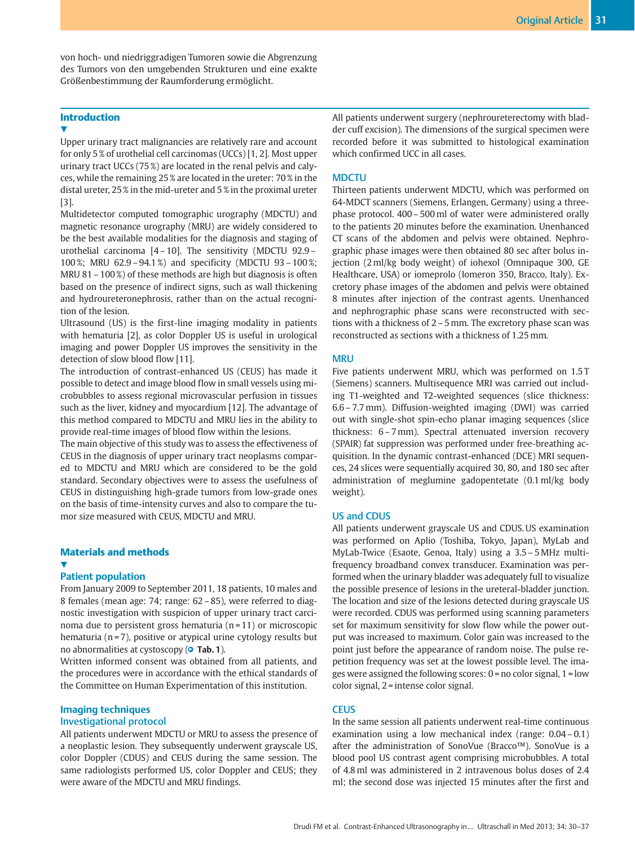von hoch- und niedriggradigen Tumoren sowie die Abgrenzung des Tumors von den umgebenden Strukturen und eine exakte Größenbestimmung der Raumforderung ermöglicht.

## **Introduction**

#### V,

Upper urinary tract malignancies are relatively rare and account for only 5 % of urothelial cell carcinomas (UCCs) [1, 2]. Most upper urinary tract UCCs (75 %) are located in the renal pelvis and calyces, while the remaining 25 % are located in the ureter: 70 % in the distal ureter, 25 % in the mid-ureter and 5 % in the proximal ureter [3].

Multidetector computed tomographic urography (MDCTU) and magnetic resonance urography (MRU) are widely considered to be the best available modalities for the diagnosis and staging of urothelial carcinoma [4 – 10]. The sensitivity (MDCTU 92.9 – 100 %; MRU 62.9 – 94.1 %) and specificity (MDCTU 93 – 100 %; MRU 81 – 100 %) of these methods are high but diagnosis is often based on the presence of indirect signs, such as wall thickening and hydroureteronephrosis, rather than on the actual recognition of the lesion.

Ultrasound (US) is the first-line imaging modality in patients with hematuria [2], as color Doppler US is useful in urological imaging and power Doppler US improves the sensitivity in the detection of slow blood flow [11].

The introduction of contrast-enhanced US (CEUS) has made it possible to detect and image blood flow in small vessels using microbubbles to assess regional microvascular perfusion in tissues such as the liver, kidney and myocardium [12]. The advantage of this method compared to MDCTU and MRU lies in the ability to provide real-time images of blood flow within the lesions.

The main objective of this study was to assess the effectiveness of CEUS in the diagnosis of upper urinary tract neoplasms compared to MDCTU and MRU which are considered to be the gold standard. Secondary objectives were to assess the usefulness of CEUS in distinguishing high-grade tumors from low-grade ones on the basis of time-intensity curves and also to compare the tumor size measured with CEUS, MDCTU and MRU.

## Materials and methods

#### $\blacktriangledown$ Patient population

From January 2009 to September 2011, 18 patients, 10 males and 8 females (mean age: 74; range: 62 – 85), were referred to diagnostic investigation with suspicion of upper urinary tract carcinoma due to persistent gross hematuria  $(n = 11)$  or microscopic hematuria ( $n = 7$ ), positive or atypical urine cytology results but no abnormalities at cystoscopy ( $\bullet$  **Tab. 1**).

Written informed consent was obtained from all patients, and the procedures were in accordance with the ethical standards of the Committee on Human Experimentation of this institution.

### Imaging techniques Investigational protocol

All patients underwent MDCTU or MRU to assess the presence of a neoplastic lesion. They subsequently underwent grayscale US, color Doppler (CDUS) and CEUS during the same session. The same radiologists performed US, color Doppler and CEUS; they were aware of the MDCTU and MRU findings.

All patients underwent surgery (nephroureterectomy with bladder cuff excision). The dimensions of the surgical specimen were recorded before it was submitted to histological examination which confirmed UCC in all cases.

### **MDCTU**

Thirteen patients underwent MDCTU, which was performed on 64-MDCT scanners (Siemens, Erlangen, Germany) using a threephase protocol. 400 – 500 ml of water were administered orally to the patients 20 minutes before the examination. Unenhanced CT scans of the abdomen and pelvis were obtained. Nephrographic phase images were then obtained 80 sec after bolus injection (2 ml/kg body weight) of iohexol (Omnipaque 300, GE Healthcare, USA) or iomeprolo (Iomeron 350, Bracco, Italy). Excretory phase images of the abdomen and pelvis were obtained 8 minutes after injection of the contrast agents. Unenhanced and nephrographic phase scans were reconstructed with sections with a thickness of 2 – 5 mm. The excretory phase scan was reconstructed as sections with a thickness of 1.25 mm.

## **MRU**

Five patients underwent MRU, which was performed on 1.5 T (Siemens) scanners. Multisequence MRI was carried out including T1-weighted and T2-weighted sequences (slice thickness: 6.6 – 7.7 mm). Diffusion-weighted imaging (DWI) was carried out with single-shot spin-echo planar imaging sequences (slice thickness: 6 – 7 mm). Spectral attenuated inversion recovery (SPAIR) fat suppression was performed under free-breathing acquisition. In the dynamic contrast-enhanced (DCE) MRI sequences, 24 slices were sequentially acquired 30, 80, and 180 sec after administration of meglumine gadopentetate (0.1 ml/kg body weight).

## US and CDUS

All patients underwent grayscale US and CDUS. US examination was performed on Aplio (Toshiba, Tokyo, Japan), MyLab and MyLab-Twice (Esaote, Genoa, Italy) using a 3.5 – 5 MHz multifrequency broadband convex transducer. Examination was performed when the urinary bladder was adequately full to visualize the possible presence of lesions in the ureteral-bladder junction. The location and size of the lesions detected during grayscale US were recorded. CDUS was performed using scanning parameters set for maximum sensitivity for slow flow while the power output was increased to maximum. Color gain was increased to the point just before the appearance of random noise. The pulse repetition frequency was set at the lowest possible level. The images were assigned the following scores:  $0 =$  no color signal,  $1 =$ low color signal, 2 = intense color signal.

#### **CEUS**

In the same session all patients underwent real-time continuous examination using a low mechanical index (range:  $0.04 - 0.1$ ) after the administration of SonoVue (Bracco™). SonoVue is a blood pool US contrast agent comprising microbubbles. A total of 4.8 ml was administered in 2 intravenous bolus doses of 2.4 ml; the second dose was injected 15 minutes after the first and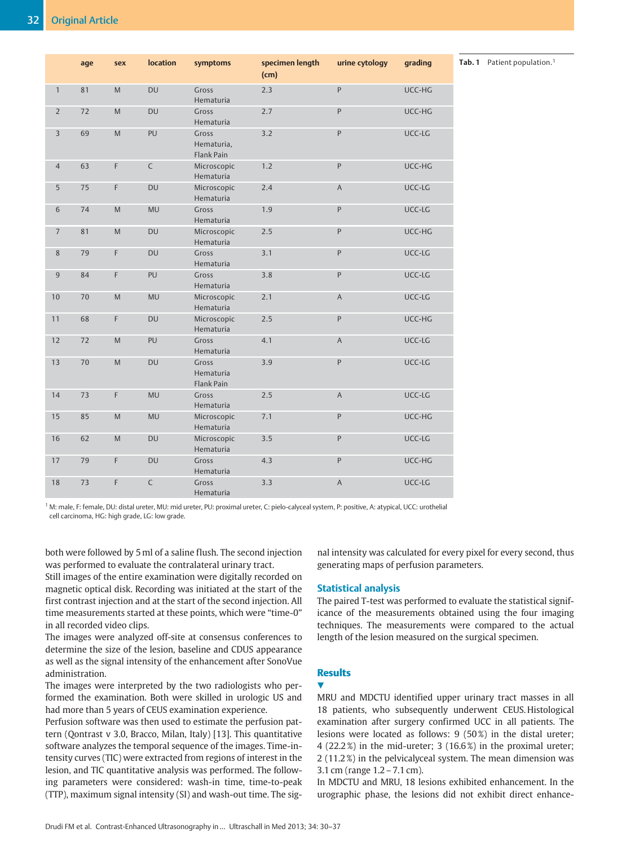|                | age | sex         | <b>location</b> | symptoms                          | specimen length<br>(cm) | urine cytology | grading |
|----------------|-----|-------------|-----------------|-----------------------------------|-------------------------|----------------|---------|
| $\mathbf{1}$   | 81  | ${\sf M}$   | DU              | Gross<br>Hematuria                | 2.3                     | $\mathsf{P}$   | UCC-HG  |
| $\overline{2}$ | 72  | M           | DU              | Gross<br>Hematuria                | 2.7                     | P              | UCC-HG  |
| 3              | 69  | M           | PU              | Gross<br>Hematuria,<br>Flank Pain | 3.2                     | P              | UCC-LG  |
| $\overline{4}$ | 63  | F           | $\mathsf C$     | Microscopic<br>Hematuria          | 1.2                     | P              | UCC-HG  |
| 5              | 75  | $\mathsf F$ | DU              | Microscopic<br>Hematuria          | 2.4                     | A              | UCC-LG  |
| 6              | 74  | ${\sf M}$   | <b>MU</b>       | Gross<br>Hematuria                | 1.9                     | P              | UCC-LG  |
| $\overline{7}$ | 81  | M           | DU              | Microscopic<br>Hematuria          | 2.5                     | $\mathsf{P}$   | UCC-HG  |
| 8              | 79  | F           | <b>DU</b>       | Gross<br>Hematuria                | 3.1                     | P              | UCC-LG  |
| 9              | 84  | $\mathsf F$ | PU              | Gross<br>Hematuria                | 3.8                     | P              | UCC-LG  |
| 10             | 70  | M           | <b>MU</b>       | Microscopic<br>Hematuria          | 2.1                     | A              | UCC-LG  |
| 11             | 68  | F           | DU              | Microscopic<br>Hematuria          | 2.5                     | P              | UCC-HG  |
| 12             | 72  | M           | PU              | Gross<br>Hematuria                | 4.1                     | A              | UCC-LG  |
| 13             | 70  | M           | DU              | Gross<br>Hematuria<br>Flank Pain  | 3.9                     | P              | UCC-LG  |
| 14             | 73  | $\mathsf F$ | <b>MU</b>       | Gross<br>Hematuria                | 2.5                     | $\overline{A}$ | UCC-LG  |
| 15             | 85  | M           | <b>MU</b>       | Microscopic<br>Hematuria          | 7.1                     | P              | UCC-HG  |
| 16             | 62  | M           | DU              | Microscopic<br>Hematuria          | 3.5                     | P              | UCC-LG  |
| 17             | 79  | F           | <b>DU</b>       | Gross<br>Hematuria                | 4.3                     | P              | UCC-HG  |
| 18             | 73  | F           | $\mathsf C$     | Gross<br>Hematuria                | 3.3                     | $\mathsf{A}$   | UCC-LG  |

Tab. 1 Patient population.<sup>1</sup>

<sup>1</sup> M: male, F: female, DU: distal ureter, MU: mid ureter, PU: proximal ureter, C: pielo-calyceal system, P: positive, A: atypical, UCC: urothelial cell carcinoma, HG: high grade, LG: low grade.

both were followed by 5 ml of a saline flush. The second injection was performed to evaluate the contralateral urinary tract.

Still images of the entire examination were digitally recorded on magnetic optical disk. Recording was initiated at the start of the first contrast injection and at the start of the second injection. All time measurements started at these points, which were "time-0" in all recorded video clips.

The images were analyzed off-site at consensus conferences to determine the size of the lesion, baseline and CDUS appearance as well as the signal intensity of the enhancement after SonoVue administration.

The images were interpreted by the two radiologists who performed the examination. Both were skilled in urologic US and had more than 5 years of CEUS examination experience.

Perfusion software was then used to estimate the perfusion pattern (Qontrast v 3.0, Bracco, Milan, Italy) [13]. This quantitative software analyzes the temporal sequence of the images. Time-intensity curves (TIC) were extracted from regions of interest in the lesion, and TIC quantitative analysis was performed. The following parameters were considered: wash-in time, time-to-peak (TTP), maximum signal intensity (SI) and wash-out time. The signal intensity was calculated for every pixel for every second, thus generating maps of perfusion parameters.

#### Statistical analysis

The paired T-test was performed to evaluate the statistical significance of the measurements obtained using the four imaging techniques. The measurements were compared to the actual length of the lesion measured on the surgical specimen.

# **Results**

**V** 

MRU and MDCTU identified upper urinary tract masses in all 18 patients, who subsequently underwent CEUS. Histological examination after surgery confirmed UCC in all patients. The lesions were located as follows: 9 (50 %) in the distal ureter; 4 (22.2 %) in the mid-ureter; 3 (16.6 %) in the proximal ureter; 2 (11.2 %) in the pelvicalyceal system. The mean dimension was 3.1 cm (range 1.2 – 7.1 cm).

In MDCTU and MRU, 18 lesions exhibited enhancement. In the urographic phase, the lesions did not exhibit direct enhance-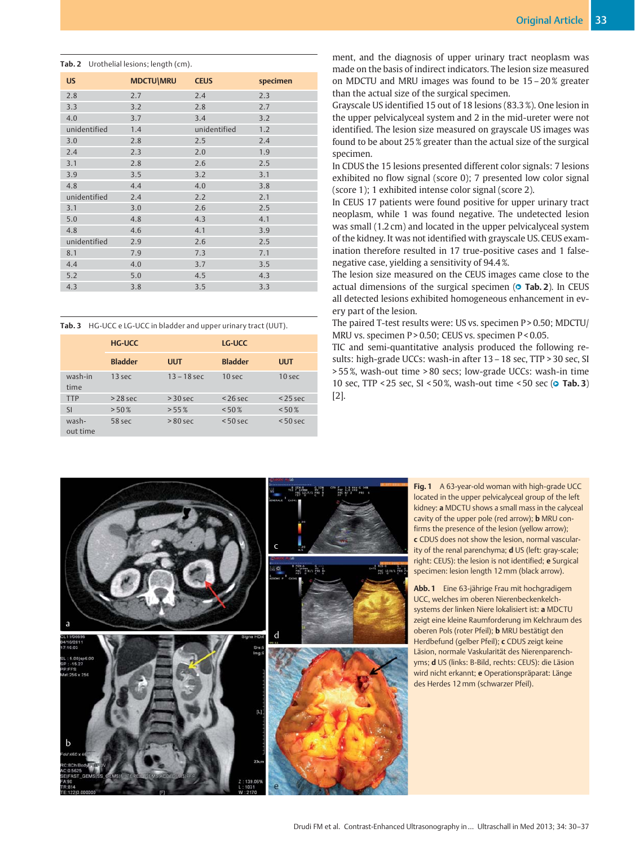#### Tab. 2 Urothelial lesions: length (cm).

| <b>US</b>    | <b>MDCTU\MRU</b> | <b>CEUS</b>  | specimen |
|--------------|------------------|--------------|----------|
| 2.8          | 2.7              | 2.4          | 2.3      |
| 3.3          | 3.2              | 2.8          | 2.7      |
| 4.0          | 3.7              | 3.4          | 3.2      |
| unidentified | 1.4              | unidentified | 1.2      |
| 3.0          | 2.8              | 2.5          | 2.4      |
| 2.4          | 2.3              | 2.0          | 1.9      |
| 3.1          | 2.8              | 2.6          | 2.5      |
| 3.9          | 3.5              | 3.2          | 3.1      |
| 4.8          | 4.4              | 4.0          | 3.8      |
| unidentified | 2.4              | 2.2          | 2.1      |
| 3.1          | 3.0              | 2.6          | 2.5      |
| 5.0          | 4.8              | 4.3          | 4.1      |
| 4.8          | 4.6              | 4.1          | 3.9      |
| unidentified | 2.9              | 2.6          | 2.5      |
| 8.1          | 7.9              | 7.3          | 7.1      |
| 4.4          | 4.0              | 3.7          | 3.5      |
| 5.2          | 5.0              | 4.5          | 4.3      |
| 4.3          | 3.8              | 3.5          | 3.3      |

Tab. 3 HG-UCC e LG-UCC in bladder and upper urinary tract (UUT).

|                   | <b>HG-UCC</b>  |               | LG-UCC         |            |
|-------------------|----------------|---------------|----------------|------------|
|                   | <b>Bladder</b> | <b>UUT</b>    | <b>Bladder</b> | <b>UUT</b> |
| wash-in<br>time   | 13 sec         | $13 - 18$ sec | $10$ sec       | $10$ sec   |
| <b>TTP</b>        | $>28$ sec      | $>$ 30 sec    | $<$ 26 sec     | $<$ 25 sec |
| <b>SI</b>         | > 50%          | $> 55\%$      | < 50%          | $< 50 \%$  |
| wash-<br>out time | 58 sec         | $> 80$ sec    | $< 50$ sec     | $< 50$ sec |

ment, and the diagnosis of upper urinary tract neoplasm was made on the basis of indirect indicators. The lesion size measured on MDCTU and MRU images was found to be 15 – 20 % greater than the actual size of the surgical specimen.

Grayscale US identified 15 out of 18 lesions (83.3 %). One lesion in the upper pelvicalyceal system and 2 in the mid-ureter were not identified. The lesion size measured on grayscale US images was found to be about 25 % greater than the actual size of the surgical specimen.

In CDUS the 15 lesions presented different color signals: 7 lesions exhibited no flow signal (score 0); 7 presented low color signal (score 1); 1 exhibited intense color signal (score 2).

In CEUS 17 patients were found positive for upper urinary tract neoplasm, while 1 was found negative. The undetected lesion was small (1.2 cm) and located in the upper pelvicalyceal system of the kidney. It was not identified with grayscale US. CEUS examination therefore resulted in 17 true-positive cases and 1 falsenegative case, yielding a sensitivity of 94.4 %.

The lesion size measured on the CEUS images came close to the actual dimensions of the surgical specimen ( $\circ$  Tab. 2). In CEUS all detected lesions exhibited homogeneous enhancement in every part of the lesion.

The paired T-test results were: US vs. specimen P > 0.50; MDCTU/ MRU vs. specimen P > 0.50; CEUS vs. specimen P < 0.05.

TIC and semi-quantitative analysis produced the following results: high-grade UCCs: wash-in after 13 – 18 sec, TTP > 30 sec, SI > 55 %, wash-out time > 80 secs; low-grade UCCs: wash-in time 10 sec, TTP < 25 sec, SI < 50%, wash-out time < 50 sec ( $\circ$  Tab. 3) [2].



Fig. 1 A 63-year-old woman with high-grade UCC located in the upper pelvicalyceal group of the left kidney: a MDCTU shows a small mass in the calyceal cavity of the upper pole (red arrow); **b** MRU confirms the presence of the lesion (yellow arrow); c CDUS does not show the lesion, normal vascularity of the renal parenchyma; d US (left: gray-scale; right: CEUS): the lesion is not identified; e Surgical specimen: lesion length 12 mm (black arrow).

Abb. 1 Eine 63-jährige Frau mit hochgradigem UCC, welches im oberen Nierenbeckenkelchsystems der linken Niere lokalisiert ist: a MDCTU zeigt eine kleine Raumforderung im Kelchraum des oberen Pols (roter Pfeil); b MRU bestätigt den Herdbefund (gelber Pfeil); c CDUS zeigt keine Läsion, normale Vaskularität des Nierenparenchyms; d US (links: B-Bild, rechts: CEUS): die Läsion wird nicht erkannt; e Operationspräparat: Länge des Herdes 12 mm (schwarzer Pfeil).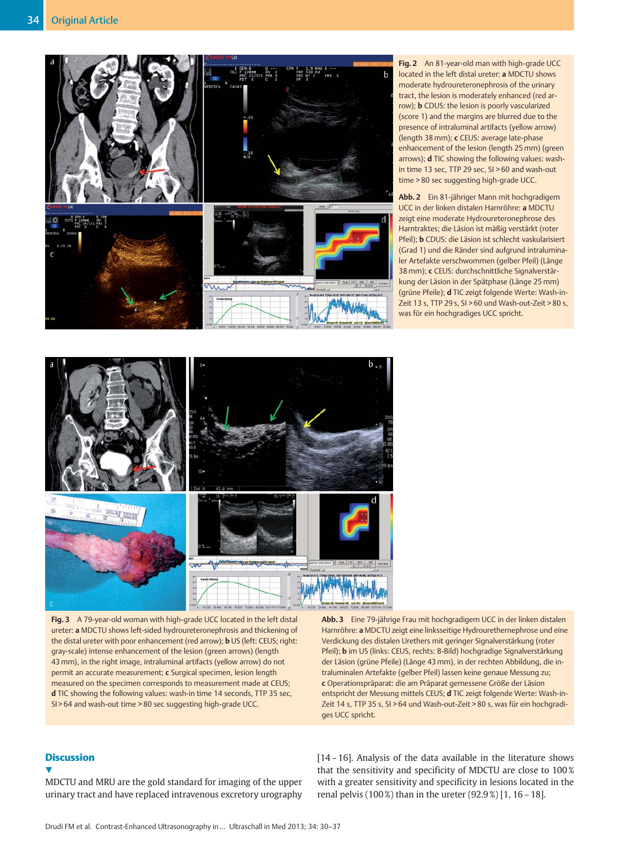

Fig. 2 An 81-year-old man with high-grade UCC located in the left distal ureter: a MDCTU shows moderate hydroureteronephrosis of the urinary tract, the lesion is moderately enhanced (red arrow); b CDUS: the lesion is poorly vascularized (score 1) and the margins are blurred due to the presence of intraluminal artifacts (yellow arrow) (length 38 mm); c CEUS: average late-phase enhancement of the lesion (length 25 mm) (green arrows); d TIC showing the following values: washin time 13 sec, TTP 29 sec, SI > 60 and wash-out time > 80 sec suggesting high-grade UCC.

Abb. 2 Ein 81-jähriger Mann mit hochgradigem UCC in der linken distalen Harnröhre: a MDCTU zeigt eine moderate Hydroureteronephrose des Harntraktes; die Läsion ist mäßig verstärkt (roter Pfeil); b CDUS: die Läsion ist schlecht vaskularisiert (Grad 1) und die Ränder sind aufgrund intraluminaler Artefakte verschwommen (gelber Pfeil) (Länge 38 mm); c CEUS: durchschnittliche Signalverstärkung der Läsion in der Spätphase (Länge 25 mm) (grüne Pfeile); d TIC zeigt folgende Werte: Wash-in-Zeit 13 s, TTP 29 s, SI > 60 und Wash-out-Zeit > 80 s, was für ein hochgradiges UCC spricht.



Fig. 3 A 79-year-old woman with high-grade UCC located in the left distal ureter: a MDCTU shows left-sided hydroureteronephrosis and thickening of the distal ureter with poor enhancement (red arrow); **b** US (left: CEUS; right: gray-scale) intense enhancement of the lesion (green arrows) (length 43 mm), in the right image, intraluminal artifacts (yellow arrow) do not permit an accurate measurement; c Surgical specimen, lesion length measured on the specimen corresponds to measurement made at CEUS; d TIC showing the following values: wash-in time 14 seconds, TTP 35 sec, SI > 64 and wash-out time > 80 sec suggesting high-grade UCC.

Abb. 3 Eine 79-jährige Frau mit hochgradigem UCC in der linken distalen Harnröhre: a MDCTU zeigt eine linksseitige Hydrourethernephrose und eine Verdickung des distalen Urethers mit geringer Signalverstärkung (roter Pfeil); b im US (links: CEUS, rechts: B-Bild) hochgradige Signalverstärkung der Läsion (grüne Pfeile) (Länge 43 mm), in der rechten Abbildung, die intraluminalen Artefakte (gelber Pfeil) lassen keine genaue Messung zu; c Operationspräparat: die am Präparat gemessene Größe der Läsion entspricht der Messung mittels CEUS; d TIC zeigt folgende Werte: Wash-in-Zeit 14 s, TTP 35 s, SI > 64 und Wash-out-Zeit > 80 s, was für ein hochgradiges UCC spricht.

## **Discussion**

 $\blacktriangledown$ 

MDCTU and MRU are the gold standard for imaging of the upper urinary tract and have replaced intravenous excretory urography [14 – 16]. Analysis of the data available in the literature shows that the sensitivity and specificity of MDCTU are close to 100 % with a greater sensitivity and specificity in lesions located in the renal pelvis (100 %) than in the ureter (92.9 %) [1, 16 – 18].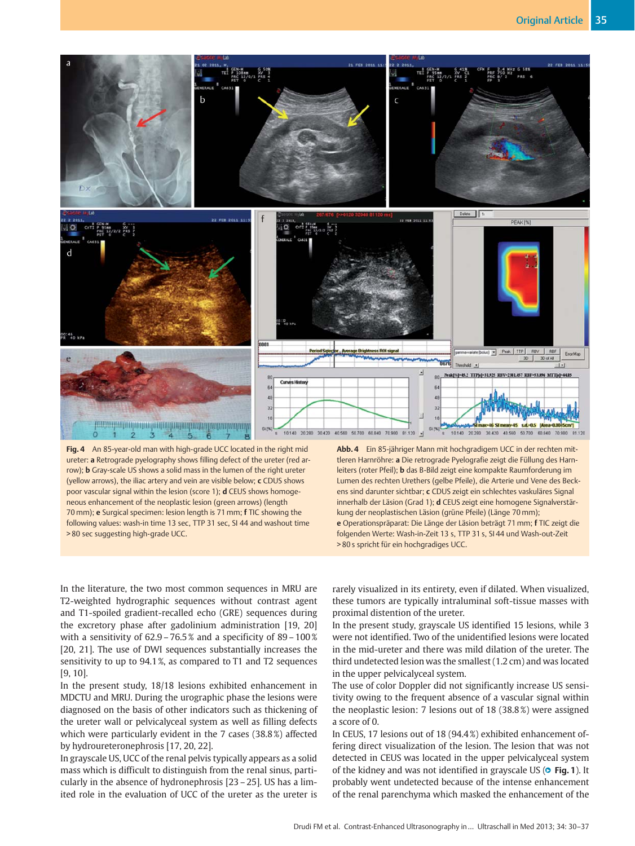

Fig. 4 An 85-year-old man with high-grade UCC located in the right mid ureter: a Retrograde pyelography shows filling defect of the ureter (red arrow); b Gray-scale US shows a solid mass in the lumen of the right ureter (yellow arrows), the iliac artery and vein are visible below; c CDUS shows poor vascular signal within the lesion (score 1); d CEUS shows homogeneous enhancement of the neoplastic lesion (green arrows) (length 70 mm); e Surgical specimen: lesion length is 71 mm; f TIC showing the following values: wash-in time 13 sec, TTP 31 sec, SI 44 and washout time > 80 sec suggesting high-grade UCC.

Abb. 4 Ein 85-jähriger Mann mit hochgradigem UCC in der rechten mittleren Harnröhre: a Die retrograde Pyelografie zeigt die Füllung des Harnleiters (roter Pfeil); b das B-Bild zeigt eine kompakte Raumforderung im Lumen des rechten Urethers (gelbe Pfeile), die Arterie und Vene des Beckens sind darunter sichtbar; c CDUS zeigt ein schlechtes vaskuläres Signal innerhalb der Läsion (Grad 1); d CEUS zeigt eine homogene Signalverstärkung der neoplastischen Läsion (grüne Pfeile) (Länge 70 mm); e Operationspräparat: Die Länge der Läsion beträgt 71 mm; f TIC zeigt die folgenden Werte: Wash-in-Zeit 13 s, TTP 31 s, SI 44 und Wash-out-Zeit > 80 s spricht für ein hochgradiges UCC.

In the literature, the two most common sequences in MRU are T2-weighted hydrographic sequences without contrast agent and T1-spoiled gradient-recalled echo (GRE) sequences during the excretory phase after gadolinium administration [19, 20] with a sensitivity of 62.9 – 76.5 % and a specificity of 89 – 100 % [20, 21]. The use of DWI sequences substantially increases the sensitivity to up to 94.1 %, as compared to T1 and T2 sequences [9, 10].

In the present study, 18/18 lesions exhibited enhancement in MDCTU and MRU. During the urographic phase the lesions were diagnosed on the basis of other indicators such as thickening of the ureter wall or pelvicalyceal system as well as filling defects which were particularly evident in the 7 cases (38.8 %) affected by hydroureteronephrosis [17, 20, 22].

In grayscale US, UCC of the renal pelvis typically appears as a solid mass which is difficult to distinguish from the renal sinus, particularly in the absence of hydronephrosis [23 – 25]. US has a limited role in the evaluation of UCC of the ureter as the ureter is rarely visualized in its entirety, even if dilated. When visualized, these tumors are typically intraluminal soft-tissue masses with proximal distention of the ureter.

In the present study, grayscale US identified 15 lesions, while 3 were not identified. Two of the unidentified lesions were located in the mid-ureter and there was mild dilation of the ureter. The third undetected lesion was the smallest (1.2 cm) and was located in the upper pelvicalyceal system.

The use of color Doppler did not significantly increase US sensitivity owing to the frequent absence of a vascular signal within the neoplastic lesion: 7 lesions out of 18 (38.8 %) were assigned a score of 0.

In CEUS, 17 lesions out of 18 (94.4 %) exhibited enhancement offering direct visualization of the lesion. The lesion that was not detected in CEUS was located in the upper pelvicalyceal system of the kidney and was not identified in grayscale US ( $\circ$  Fig. 1). It probably went undetected because of the intense enhancement of the renal parenchyma which masked the enhancement of the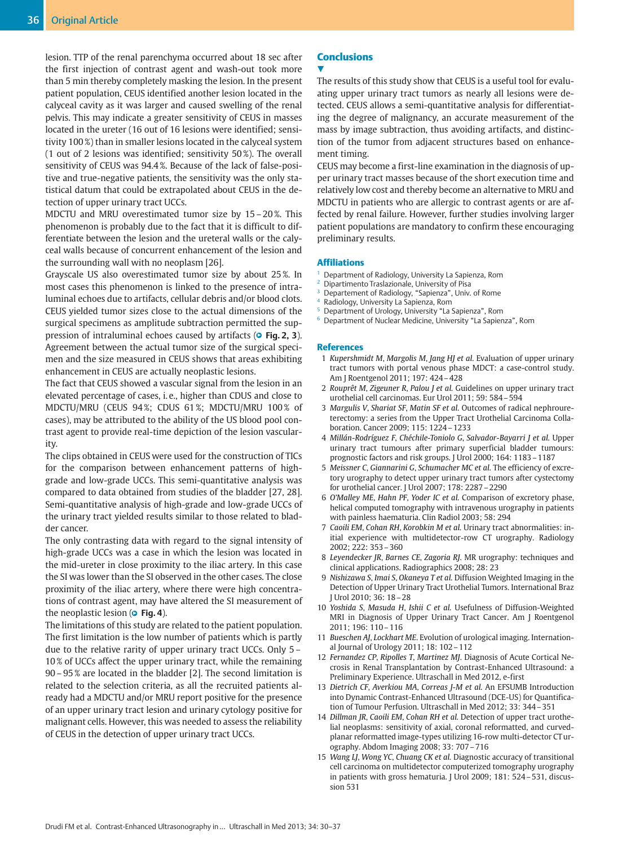lesion. TTP of the renal parenchyma occurred about 18 sec after the first injection of contrast agent and wash-out took more than 5 min thereby completely masking the lesion. In the present patient population, CEUS identified another lesion located in the calyceal cavity as it was larger and caused swelling of the renal pelvis. This may indicate a greater sensitivity of CEUS in masses located in the ureter (16 out of 16 lesions were identified; sensitivity 100 %) than in smaller lesions located in the calyceal system (1 out of 2 lesions was identified; sensitivity 50 %). The overall sensitivity of CEUS was 94.4 %. Because of the lack of false-positive and true-negative patients, the sensitivity was the only statistical datum that could be extrapolated about CEUS in the detection of upper urinary tract UCCs.

MDCTU and MRU overestimated tumor size by 15 – 20 %. This phenomenon is probably due to the fact that it is difficult to differentiate between the lesion and the ureteral walls or the calyceal walls because of concurrent enhancement of the lesion and the surrounding wall with no neoplasm [26].

Grayscale US also overestimated tumor size by about 25 %. In most cases this phenomenon is linked to the presence of intraluminal echoes due to artifacts, cellular debris and/or blood clots. CEUS yielded tumor sizes close to the actual dimensions of the surgical specimens as amplitude subtraction permitted the suppression of intraluminal echoes caused by artifacts (**© Fig. 2, 3**). Agreement between the actual tumor size of the surgical specimen and the size measured in CEUS shows that areas exhibiting enhancement in CEUS are actually neoplastic lesions.

The fact that CEUS showed a vascular signal from the lesion in an elevated percentage of cases, i. e., higher than CDUS and close to MDCTU/MRU (CEUS 94 %; CDUS 61 %; MDCTU/MRU 100 % of cases), may be attributed to the ability of the US blood pool contrast agent to provide real-time depiction of the lesion vascularity.

The clips obtained in CEUS were used for the construction of TICs for the comparison between enhancement patterns of highgrade and low-grade UCCs. This semi-quantitative analysis was compared to data obtained from studies of the bladder [27, 28]. Semi-quantitative analysis of high-grade and low-grade UCCs of the urinary tract yielded results similar to those related to bladder cancer.

The only contrasting data with regard to the signal intensity of high-grade UCCs was a case in which the lesion was located in the mid-ureter in close proximity to the iliac artery. In this case the SI was lower than the SI observed in the other cases. The close proximity of the iliac artery, where there were high concentrations of contrast agent, may have altered the SI measurement of the neoplastic lesion ( $\bullet$  **Fig. 4**).

The limitations of this study are related to the patient population. The first limitation is the low number of patients which is partly due to the relative rarity of upper urinary tract UCCs. Only 5 – 10 % of UCCs affect the upper urinary tract, while the remaining 90 – 95 % are located in the bladder [2]. The second limitation is related to the selection criteria, as all the recruited patients already had a MDCTU and/or MRU report positive for the presence of an upper urinary tract lesion and urinary cytology positive for malignant cells. However, this was needed to assess the reliability of CEUS in the detection of upper urinary tract UCCs.

# **Conclusions**

## **V**

The results of this study show that CEUS is a useful tool for evaluating upper urinary tract tumors as nearly all lesions were detected. CEUS allows a semi-quantitative analysis for differentiating the degree of malignancy, an accurate measurement of the mass by image subtraction, thus avoiding artifacts, and distinction of the tumor from adjacent structures based on enhancement timing.

CEUS may become a first-line examination in the diagnosis of upper urinary tract masses because of the short execution time and relatively low cost and thereby become an alternative to MRU and MDCTU in patients who are allergic to contrast agents or are affected by renal failure. However, further studies involving larger patient populations are mandatory to confirm these encouraging preliminary results.

## Affiliations

- <sup>1</sup> Department of Radiology, University La Sapienza, Rom
- Dipartimento Traslazionale, University of Pisa
- Departement of Radiology, "Sapienza", Univ. of Rome
- Radiology, University La Sapienza, Rom
- <sup>5</sup> Department of Urology, University "La Sapienza", Rom
- <sup>6</sup> Department of Nuclear Medicine, University "La Sapienza", Rom

#### References

- 01 Kupershmidt M, Margolis M, Jang HJ et al. Evaluation of upper urinary tract tumors with portal venous phase MDCT: a case-control study. Am J Roentgenol 2011; 197: 424–428
- 2 Rouprêt M, Zigeuner R, Palou J et al. Guidelines on upper urinary tract urothelial cell carcinomas. Eur Urol 2011; 59: 584–594
- 3 Margulis V, Shariat SF, Matin SF et al. Outcomes of radical nephroureterectomy: a series from the Upper Tract Urothelial Carcinoma Collaboration. Cancer 2009; 115: 1224–1233
- 04 Millán-Rodríguez F, Chéchile-Toniolo G, Salvador-Bayarri J et al. Upper urinary tract tumours after primary superficial bladder tumours: prognostic factors and risk groups. J Urol 2000; 164: 1183–1187
- 5 Meissner C, Giannarini G, Schumacher MC et al. The efficiency of excretory urography to detect upper urinary tract tumors after cystectomy for urothelial cancer. J Urol 2007; 178: 2287–2290
- 06 O'Malley ME, Hahn PF, Yoder IC et al. Comparison of excretory phase, helical computed tomography with intravenous urography in patients with painless haematuria. Clin Radiol 2003; 58: 294
- 07 Caoili EM, Cohan RH, Korobkin M et al. Urinary tract abnormalities: initial experience with multidetector-row CT urography. Radiology 2002; 222: 353–360
- 08 Leyendecker JR, Barnes CE, Zagoria RJ. MR urography: techniques and clinical applications. Radiographics 2008; 28: 23
- 09 Nishizawa S, Imai S, Okaneya T et al. Diffusion Weighted Imaging in the Detection of Upper Urinary Tract Urothelial Tumors. International Braz J Urol 2010; 36: 18–28
- 10 Yoshida S, Masuda H, Ishii C et al. Usefulness of Diffusion-Weighted MRI in Diagnosis of Upper Urinary Tract Cancer. Am J Roentgenol 2011; 196: 110–116
- 11 Bueschen AJ, Lockhart ME. Evolution of urological imaging. International Journal of Urology 2011; 18: 102–112
- 12 Fernandez CP, Ripolles T, Martinez MJ. Diagnosis of Acute Cortical Necrosis in Renal Transplantation by Contrast-Enhanced Ultrasound: a Preliminary Experience. Ultraschall in Med 2012, e-first
- 13 Dietrich CF, Averkiou MA, Correas J-M et al. An EFSUMB Introduction into Dynamic Contrast-Enhanced Ultrasound (DCE-US) for Quantification of Tumour Perfusion. Ultraschall in Med 2012; 33: 344–351
- 14 Dillman JR, Caoili EM, Cohan RH et al. Detection of upper tract urothelial neoplasms: sensitivity of axial, coronal reformatted, and curvedplanar reformatted image-types utilizing 16-row multi-detector CT urography. Abdom Imaging 2008; 33: 707–716
- 15 Wang LJ, Wong YC, Chuang CK et al. Diagnostic accuracy of transitional cell carcinoma on multidetector computerized tomography urography in patients with gross hematuria. J Urol 2009; 181: 524–531, discussion 531